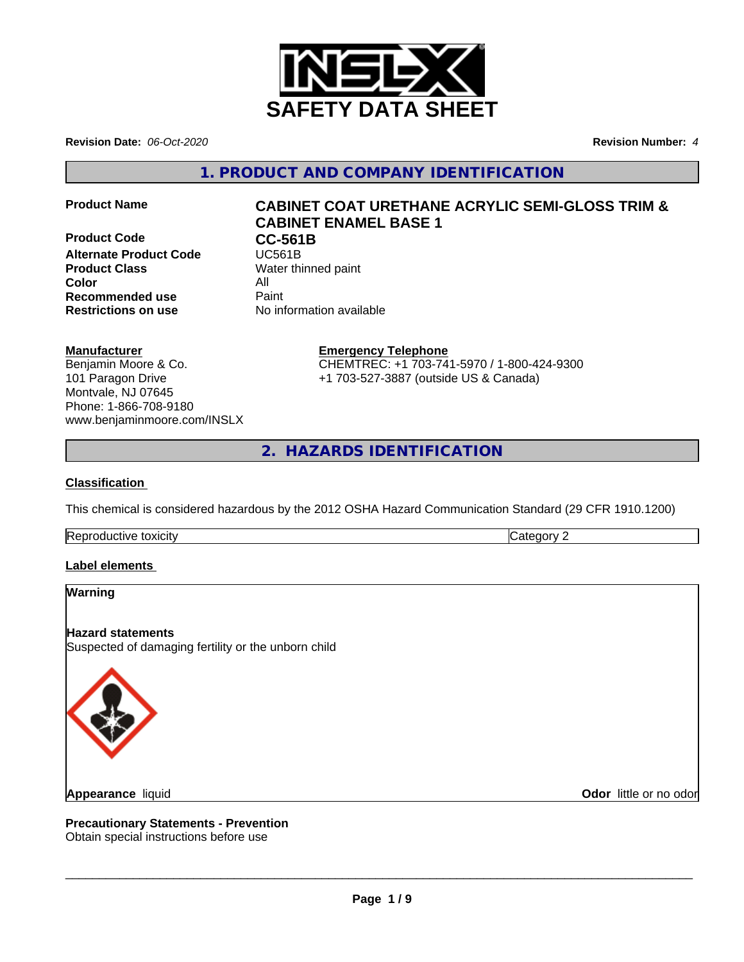

**Revision Date:** *06-Oct-2020* **Revision Number:** *4*

**1. PRODUCT AND COMPANY IDENTIFICATION**

**Product Code CC-561B**<br> **Alternate Product Code CC-561B Alternate Product Code Product Class** Water thinned paint **Color** All **All**<br> **Recommended use** Paint **Recommended use Restrictions on use** No information available

# **Product Name CABINET COAT URETHANE ACRYLIC SEMI-GLOSS TRIM & CABINET ENAMEL BASE 1**

## **Manufacturer**

Benjamin Moore & Co. 101 Paragon Drive Montvale, NJ 07645 Phone: 1-866-708-9180 www.benjaminmoore.com/INSLX

## **Emergency Telephone**

CHEMTREC: +1 703-741-5970 / 1-800-424-9300 +1 703-527-3887 (outside US & Canada)

**2. HAZARDS IDENTIFICATION**

#### **Classification**

This chemical is considered hazardous by the 2012 OSHA Hazard Communication Standard (29 CFR 1910.1200)

Reproductive toxicity **Category 2 Category 2** 

## **Label elements**

#### **Warning**

**Hazard statements** Suspected of damaging fertility or the unborn child



**Appearance** liquid

**Odor** little or no odor

**Precautionary Statements - Prevention** Obtain special instructions before use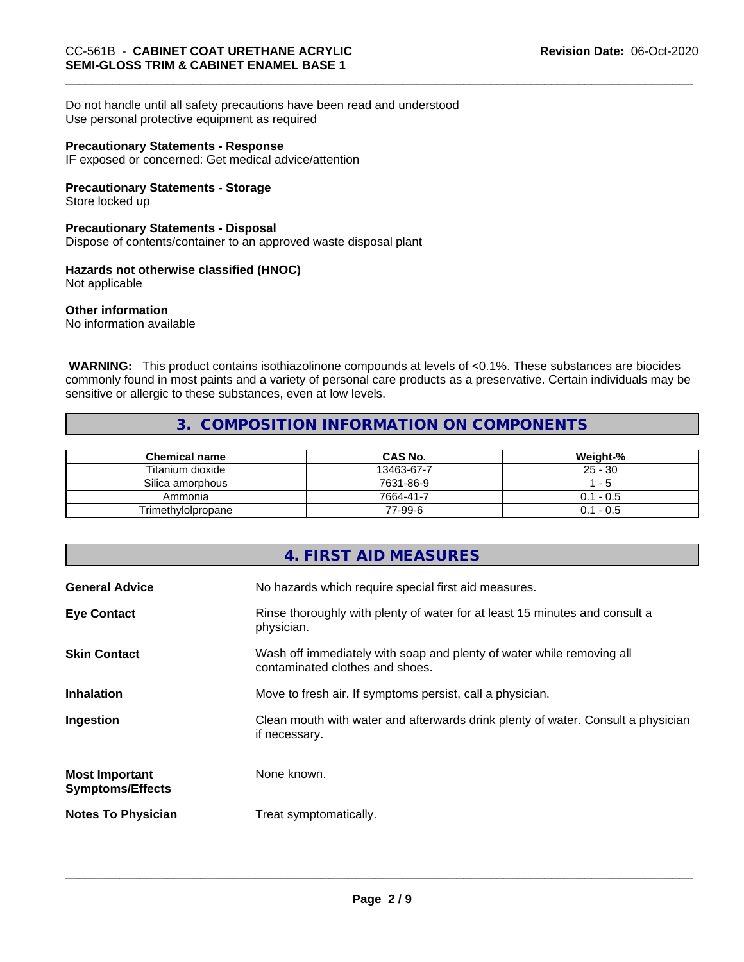Do not handle until all safety precautions have been read and understood

Use personal protective equipment as required

#### **Precautionary Statements - Response**

IF exposed or concerned: Get medical advice/attention

## **Precautionary Statements - Storage**

Store locked up

## **Precautionary Statements - Disposal**

Dispose of contents/container to an approved waste disposal plant

# **Hazards not otherwise classified (HNOC)**

Not applicable

## **Other information**

No information available

 **WARNING:** This product contains isothiazolinone compounds at levels of <0.1%. These substances are biocides commonly found in most paints and a variety of personal care products as a preservative. Certain individuals may be sensitive or allergic to these substances, even at low levels.

## **3. COMPOSITION INFORMATION ON COMPONENTS**

| <b>Chemical name</b> | <b>CAS No.</b> | Weight-%    |
|----------------------|----------------|-------------|
| Titanium dioxide     | 13463-67-7     | $25 - 30$   |
| Silica amorphous     | 7631-86-9      | - 5         |
| Ammonia              | 7664-41-7      | $0.1 - 0.5$ |
| Trimethylolpropane   | 77-99-6        | $0.1 - 0.5$ |

|                                                  | <b>4. FIRST AID MEASURES</b>                                                                             |
|--------------------------------------------------|----------------------------------------------------------------------------------------------------------|
| <b>General Advice</b>                            | No hazards which require special first aid measures.                                                     |
| <b>Eye Contact</b>                               | Rinse thoroughly with plenty of water for at least 15 minutes and consult a<br>physician.                |
| <b>Skin Contact</b>                              | Wash off immediately with soap and plenty of water while removing all<br>contaminated clothes and shoes. |
| <b>Inhalation</b>                                | Move to fresh air. If symptoms persist, call a physician.                                                |
| Ingestion                                        | Clean mouth with water and afterwards drink plenty of water. Consult a physician<br>if necessary.        |
| <b>Most Important</b><br><b>Symptoms/Effects</b> | None known.                                                                                              |
| <b>Notes To Physician</b>                        | Treat symptomatically.                                                                                   |
|                                                  |                                                                                                          |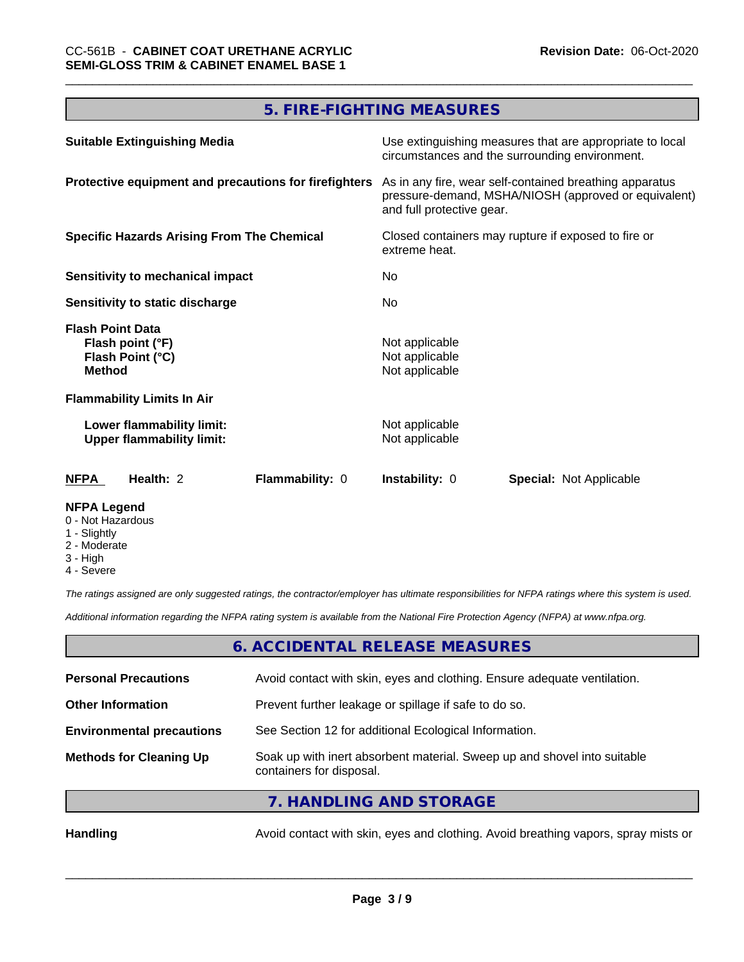# **5. FIRE-FIGHTING MEASURES**

| <b>Suitable Extinguishing Media</b>                                              | Use extinguishing measures that are appropriate to local<br>circumstances and the surrounding environment.                                                                                                                         |  |  |
|----------------------------------------------------------------------------------|------------------------------------------------------------------------------------------------------------------------------------------------------------------------------------------------------------------------------------|--|--|
| Protective equipment and precautions for firefighters                            | As in any fire, wear self-contained breathing apparatus<br>pressure-demand, MSHA/NIOSH (approved or equivalent)<br>and full protective gear.<br>Closed containers may rupture if exposed to fire or<br>extreme heat.<br>No.<br>No. |  |  |
| <b>Specific Hazards Arising From The Chemical</b>                                |                                                                                                                                                                                                                                    |  |  |
| Sensitivity to mechanical impact                                                 |                                                                                                                                                                                                                                    |  |  |
| <b>Sensitivity to static discharge</b>                                           |                                                                                                                                                                                                                                    |  |  |
| <b>Flash Point Data</b><br>Flash point (°F)<br>Flash Point (°C)<br><b>Method</b> | Not applicable<br>Not applicable<br>Not applicable                                                                                                                                                                                 |  |  |
| <b>Flammability Limits In Air</b>                                                |                                                                                                                                                                                                                                    |  |  |
| Lower flammability limit:<br><b>Upper flammability limit:</b>                    | Not applicable<br>Not applicable                                                                                                                                                                                                   |  |  |
| <b>NFPA</b><br>Health: 2<br>Flammability: 0                                      | <b>Instability: 0</b><br><b>Special: Not Applicable</b>                                                                                                                                                                            |  |  |
| <b>NFPA Legend</b>                                                               |                                                                                                                                                                                                                                    |  |  |

- 0 Not Hazardous
- 1 Slightly
- 2 Moderate
- 3 High
- 4 Severe

*The ratings assigned are only suggested ratings, the contractor/employer has ultimate responsibilities for NFPA ratings where this system is used.*

*Additional information regarding the NFPA rating system is available from the National Fire Protection Agency (NFPA) at www.nfpa.org.*

## **6. ACCIDENTAL RELEASE MEASURES**

| <b>Personal Precautions</b>      | Avoid contact with skin, eyes and clothing. Ensure adequate ventilation.                             |
|----------------------------------|------------------------------------------------------------------------------------------------------|
| <b>Other Information</b>         | Prevent further leakage or spillage if safe to do so.                                                |
| <b>Environmental precautions</b> | See Section 12 for additional Ecological Information.                                                |
| <b>Methods for Cleaning Up</b>   | Soak up with inert absorbent material. Sweep up and shovel into suitable<br>containers for disposal. |
|                                  |                                                                                                      |

**7. HANDLING AND STORAGE**

Handling **Handling** Avoid contact with skin, eyes and clothing. Avoid breathing vapors, spray mists or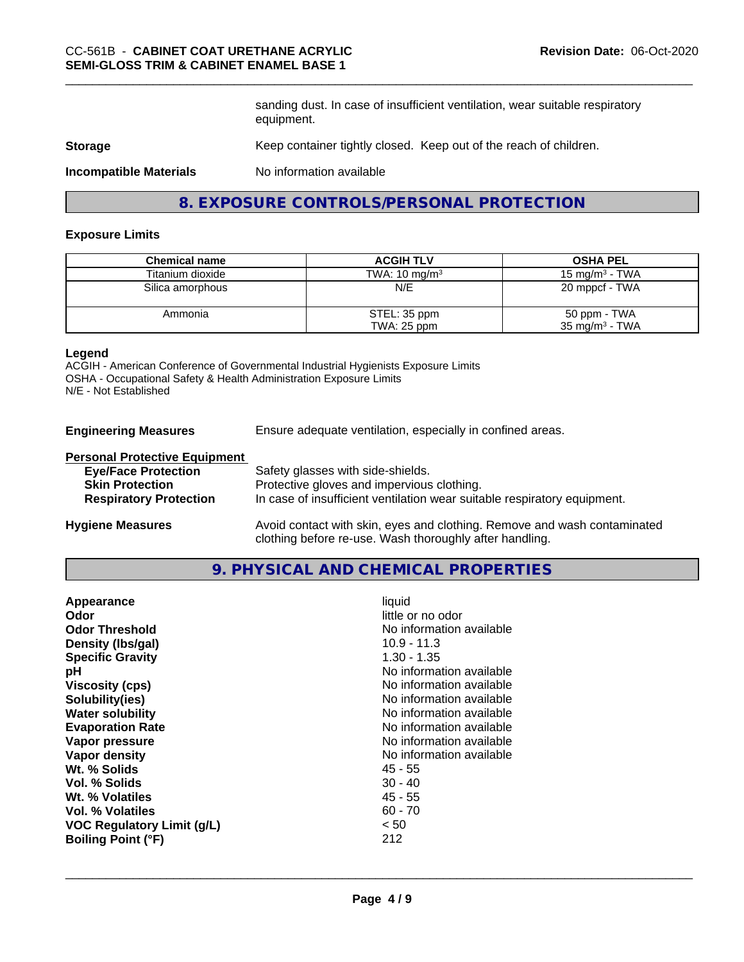sanding dust. In case of insufficient ventilation, wear suitable respiratory equipment.

#### **Storage** Keep container tightly closed. Keep out of the reach of children.

**Incompatible Materials** No information available

## **8. EXPOSURE CONTROLS/PERSONAL PROTECTION**

#### **Exposure Limits**

| <b>Chemical name</b> | <b>ACGIH TLV</b>         | <b>OSHA PEL</b>           |
|----------------------|--------------------------|---------------------------|
| Titanium dioxide     | TWA: $10 \text{ mg/m}^3$ | 15 mg/m $3$ - TWA         |
| Silica amorphous     | N/E                      | 20 mppcf - TWA            |
| Ammonia              | STEL: 35 ppm             | 50 ppm - TWA              |
|                      | TWA: 25 ppm              | $35 \text{ mg/m}^3$ - TWA |

## **Legend**

ACGIH - American Conference of Governmental Industrial Hygienists Exposure Limits OSHA - Occupational Safety & Health Administration Exposure Limits N/E - Not Established

**Engineering Measures** Ensure adequate ventilation, especially in confined areas.

clothing before re-use. Wash thoroughly after handling.

#### **Personal Protective Equipment**

| <b>Eye/Face Protection</b>    | Safety glasses with side-shields.                                        |
|-------------------------------|--------------------------------------------------------------------------|
| <b>Skin Protection</b>        | Protective gloves and impervious clothing.                               |
| <b>Respiratory Protection</b> | In case of insufficient ventilation wear suitable respiratory equipment. |
| <b>Hygiene Measures</b>       | Avoid contact with skin, eyes and clothing. Remove and wash contaminated |

## **9. PHYSICAL AND CHEMICAL PROPERTIES**

| Appearance<br>little or no odor<br>Odor<br>No information available<br><b>Odor Threshold</b><br>Density (Ibs/gal)<br>$10.9 - 11.3$<br>1.30 - 1.35<br><b>Specific Gravity</b><br>No information available<br>рH<br><b>Viscosity (cps)</b><br>No information available<br>Solubility(ies)<br>No information available<br>No information available<br><b>Water solubility</b><br><b>Evaporation Rate</b><br>No information available<br>No information available<br>Vapor pressure<br>No information available<br>Vapor density<br>Wt. % Solids<br>45 - 55<br>Vol. % Solids<br>$30 - 40$<br>$45 - 55$<br>Wt. % Volatiles<br>Vol. % Volatiles<br>$60 - 70$<br>< 50<br><b>VOC Regulatory Limit (g/L)</b><br>212<br><b>Boiling Point (°F)</b> | liquid |
|-----------------------------------------------------------------------------------------------------------------------------------------------------------------------------------------------------------------------------------------------------------------------------------------------------------------------------------------------------------------------------------------------------------------------------------------------------------------------------------------------------------------------------------------------------------------------------------------------------------------------------------------------------------------------------------------------------------------------------------------|--------|
|-----------------------------------------------------------------------------------------------------------------------------------------------------------------------------------------------------------------------------------------------------------------------------------------------------------------------------------------------------------------------------------------------------------------------------------------------------------------------------------------------------------------------------------------------------------------------------------------------------------------------------------------------------------------------------------------------------------------------------------------|--------|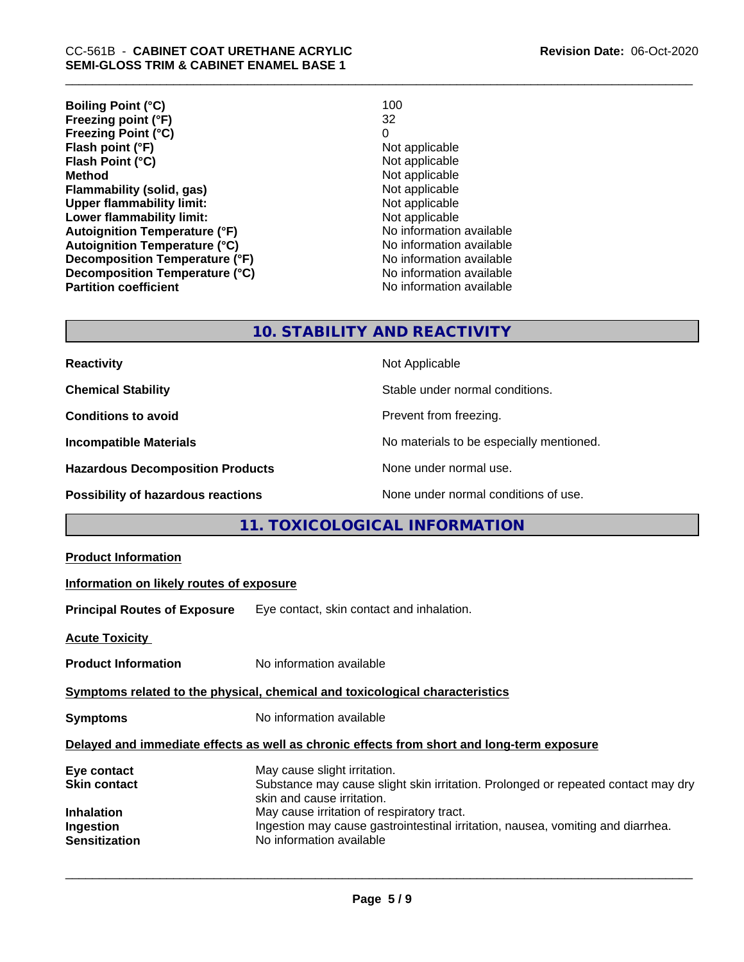| <b>Boiling Point (°C)</b>            | 100                      |
|--------------------------------------|--------------------------|
| Freezing point (°F)                  | 32                       |
| <b>Freezing Point (°C)</b>           | 0                        |
| Flash point (°F)                     | Not applicable           |
| Flash Point (°C)                     | Not applicable           |
| <b>Method</b>                        | Not applicable           |
| Flammability (solid, gas)            | Not applicable           |
| <b>Upper flammability limit:</b>     | Not applicable           |
| Lower flammability limit:            | Not applicable           |
| <b>Autoignition Temperature (°F)</b> | No information available |
| <b>Autoignition Temperature (°C)</b> | No information available |
| Decomposition Temperature (°F)       | No information available |
| Decomposition Temperature (°C)       | No information available |
| <b>Partition coefficient</b>         | No information available |

## **10. STABILITY AND REACTIVITY**

| <b>Reactivity</b>                         | Not Applicable                           |
|-------------------------------------------|------------------------------------------|
| <b>Chemical Stability</b>                 | Stable under normal conditions.          |
| <b>Conditions to avoid</b>                | Prevent from freezing.                   |
| <b>Incompatible Materials</b>             | No materials to be especially mentioned. |
| <b>Hazardous Decomposition Products</b>   | None under normal use.                   |
| <b>Possibility of hazardous reactions</b> | None under normal conditions of use.     |

# **11. TOXICOLOGICAL INFORMATION**

| <b>Product Information</b>                                                                   |                                                                                                                                                                                                                                                                                                              |
|----------------------------------------------------------------------------------------------|--------------------------------------------------------------------------------------------------------------------------------------------------------------------------------------------------------------------------------------------------------------------------------------------------------------|
| Information on likely routes of exposure                                                     |                                                                                                                                                                                                                                                                                                              |
| <b>Principal Routes of Exposure</b>                                                          | Eye contact, skin contact and inhalation.                                                                                                                                                                                                                                                                    |
| <b>Acute Toxicity</b>                                                                        |                                                                                                                                                                                                                                                                                                              |
| <b>Product Information</b>                                                                   | No information available                                                                                                                                                                                                                                                                                     |
|                                                                                              | Symptoms related to the physical, chemical and toxicological characteristics                                                                                                                                                                                                                                 |
| <b>Symptoms</b>                                                                              | No information available                                                                                                                                                                                                                                                                                     |
|                                                                                              | Delayed and immediate effects as well as chronic effects from short and long-term exposure                                                                                                                                                                                                                   |
| Eye contact<br><b>Skin contact</b><br><b>Inhalation</b><br>Ingestion<br><b>Sensitization</b> | May cause slight irritation.<br>Substance may cause slight skin irritation. Prolonged or repeated contact may dry<br>skin and cause irritation.<br>May cause irritation of respiratory tract.<br>Ingestion may cause gastrointestinal irritation, nausea, vomiting and diarrhea.<br>No information available |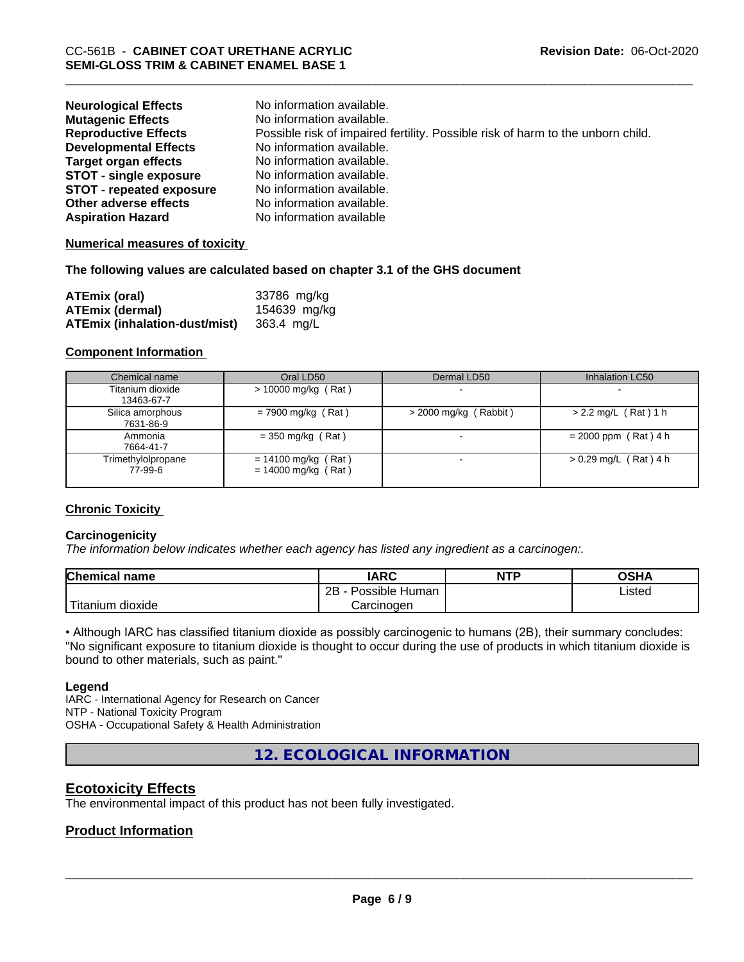| <b>Neurological Effects</b>     | No information available.                                                       |
|---------------------------------|---------------------------------------------------------------------------------|
| <b>Mutagenic Effects</b>        | No information available.                                                       |
| <b>Reproductive Effects</b>     | Possible risk of impaired fertility. Possible risk of harm to the unborn child. |
| <b>Developmental Effects</b>    | No information available.                                                       |
| <b>Target organ effects</b>     | No information available.                                                       |
| <b>STOT - single exposure</b>   | No information available.                                                       |
| <b>STOT - repeated exposure</b> | No information available.                                                       |
| Other adverse effects           | No information available.                                                       |
| <b>Aspiration Hazard</b>        | No information available                                                        |

#### **Numerical measures of toxicity**

#### **The following values are calculated based on chapter 3.1 of the GHS document**

| <b>ATEmix (oral)</b>                 | 33786 mg/kg  |
|--------------------------------------|--------------|
| <b>ATEmix (dermal)</b>               | 154639 mg/kg |
| <b>ATEmix (inhalation-dust/mist)</b> | 363.4 mg/L   |

#### **Component Information**

| Chemical name                  | Oral LD50                                      | Dermal LD50             | Inhalation LC50         |
|--------------------------------|------------------------------------------------|-------------------------|-------------------------|
| Titanium dioxide<br>13463-67-7 | $> 10000$ mg/kg (Rat)                          |                         |                         |
| Silica amorphous<br>7631-86-9  | $= 7900$ mg/kg (Rat)                           | $>$ 2000 mg/kg (Rabbit) | $> 2.2$ mg/L (Rat) 1 h  |
| Ammonia<br>7664-41-7           | $=$ 350 mg/kg (Rat)                            |                         | $= 2000$ ppm (Rat) 4 h  |
| Trimethylolpropane<br>77-99-6  | $= 14100$ mg/kg (Rat)<br>$= 14000$ mg/kg (Rat) |                         | $> 0.29$ mg/L (Rat) 4 h |

#### **Chronic Toxicity**

#### **Carcinogenicity**

*The information below indicateswhether each agency has listed any ingredient as a carcinogen:.*

| <b>Chemical name</b>          | <b>IARC</b>          | <b>NTP</b> | <b>OSHA</b>    |
|-------------------------------|----------------------|------------|----------------|
|                               | 2B<br>Possible Human |            | Listed<br>____ |
| .<br>n dioxide.<br>. Titanıum | Carcinogen           |            |                |

• Although IARC has classified titanium dioxide as possibly carcinogenic to humans (2B), their summary concludes: "No significant exposure to titanium dioxide is thought to occur during the use of products in which titanium dioxide is bound to other materials, such as paint."

#### **Legend**

IARC - International Agency for Research on Cancer NTP - National Toxicity Program OSHA - Occupational Safety & Health Administration

**12. ECOLOGICAL INFORMATION**

## **Ecotoxicity Effects**

The environmental impact of this product has not been fully investigated.

## **Product Information**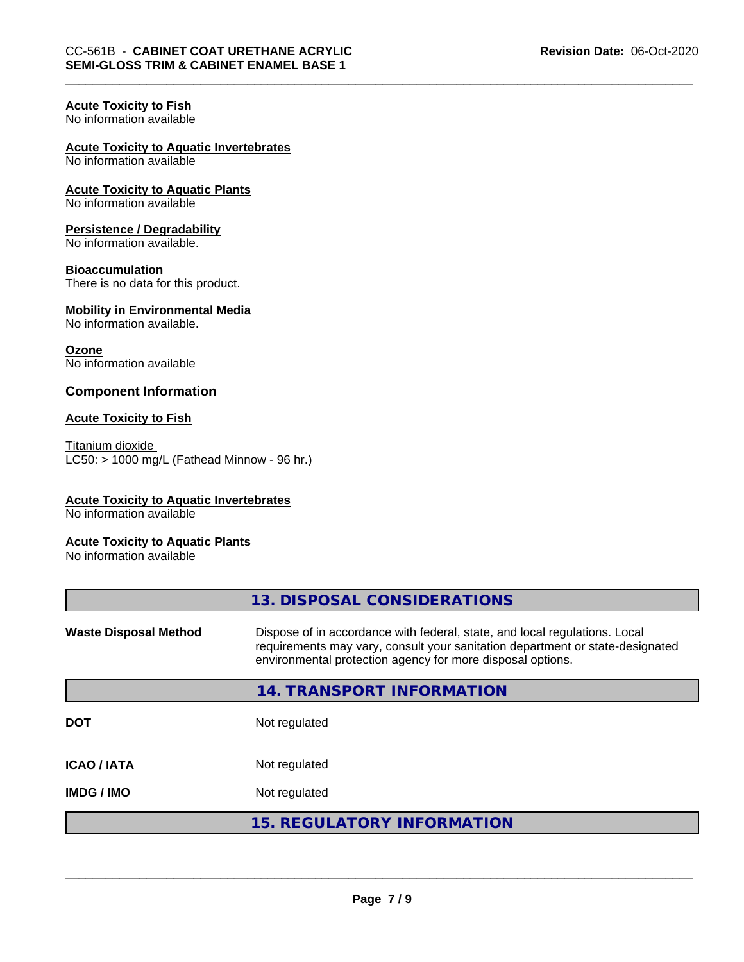## **Acute Toxicity to Fish**

No information available

## **Acute Toxicity to Aquatic Invertebrates**

No information available

#### **Acute Toxicity to Aquatic Plants** No information available

## **Persistence / Degradability**

No information available.

## **Bioaccumulation**

There is no data for this product.

#### **Mobility in Environmental Media** No information available.

**Ozone** No information available

## **Component Information**

#### **Acute Toxicity to Fish**

Titanium dioxide  $LC50:$  > 1000 mg/L (Fathead Minnow - 96 hr.)

## **Acute Toxicity to Aquatic Invertebrates**

No information available

#### **Acute Toxicity to Aquatic Plants**

No information available

|                              | 13. DISPOSAL CONSIDERATIONS                                                                                                                                                                                               |
|------------------------------|---------------------------------------------------------------------------------------------------------------------------------------------------------------------------------------------------------------------------|
| <b>Waste Disposal Method</b> | Dispose of in accordance with federal, state, and local regulations. Local<br>requirements may vary, consult your sanitation department or state-designated<br>environmental protection agency for more disposal options. |
|                              | 14. TRANSPORT INFORMATION                                                                                                                                                                                                 |
| <b>DOT</b>                   | Not regulated                                                                                                                                                                                                             |
| <b>ICAO/IATA</b>             | Not regulated                                                                                                                                                                                                             |
| <b>IMDG / IMO</b>            | Not regulated                                                                                                                                                                                                             |
|                              | <b>15. REGULATORY INFORMATION</b>                                                                                                                                                                                         |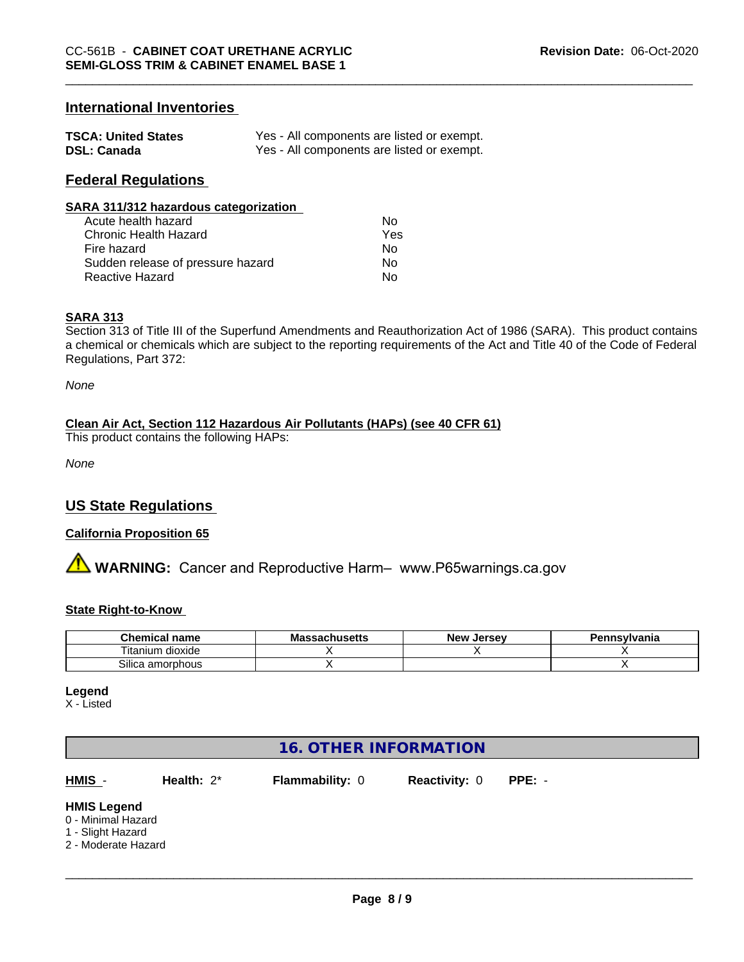## **International Inventories**

| <b>TSCA: United States</b> | Yes - All components are listed or exempt. |
|----------------------------|--------------------------------------------|
| <b>DSL: Canada</b>         | Yes - All components are listed or exempt. |

## **Federal Regulations**

#### **SARA 311/312 hazardous categorization**

| Acute health hazard               | Nο  |
|-----------------------------------|-----|
| Chronic Health Hazard             | Yes |
| Fire hazard                       | Nο  |
| Sudden release of pressure hazard | Nο  |
| Reactive Hazard                   | Nο  |

#### **SARA 313**

Section 313 of Title III of the Superfund Amendments and Reauthorization Act of 1986 (SARA). This product contains a chemical or chemicals which are subject to the reporting requirements of the Act and Title 40 of the Code of Federal Regulations, Part 372:

*None*

## **Clean Air Act,Section 112 Hazardous Air Pollutants (HAPs) (see 40 CFR 61)**

This product contains the following HAPs:

*None*

## **US State Regulations**

#### **California Proposition 65**

**A WARNING:** Cancer and Reproductive Harm– www.P65warnings.ca.gov

#### **State Right-to-Know**

| Chemical<br>name            | - -<br>המח<br><b>JUIIUSULLS</b> | Jersev<br>Nev <b>N</b> | าทรงIvania |
|-----------------------------|---------------------------------|------------------------|------------|
| dioxide<br>l itanıum        |                                 |                        |            |
| ~…<br>ເ amorphous<br>Silica |                                 |                        |            |

**Legend**

X - Listed

# **16. OTHER INFORMATION**

**HMIS** - **Health:** 2\* **Flammability:** 0 **Reactivity:** 0 **PPE:** -

 $\overline{\phantom{a}}$  ,  $\overline{\phantom{a}}$  ,  $\overline{\phantom{a}}$  ,  $\overline{\phantom{a}}$  ,  $\overline{\phantom{a}}$  ,  $\overline{\phantom{a}}$  ,  $\overline{\phantom{a}}$  ,  $\overline{\phantom{a}}$  ,  $\overline{\phantom{a}}$  ,  $\overline{\phantom{a}}$  ,  $\overline{\phantom{a}}$  ,  $\overline{\phantom{a}}$  ,  $\overline{\phantom{a}}$  ,  $\overline{\phantom{a}}$  ,  $\overline{\phantom{a}}$  ,  $\overline{\phantom{a}}$ 

#### **HMIS Legend**

- 0 Minimal Hazard
- 1 Slight Hazard
- 2 Moderate Hazard